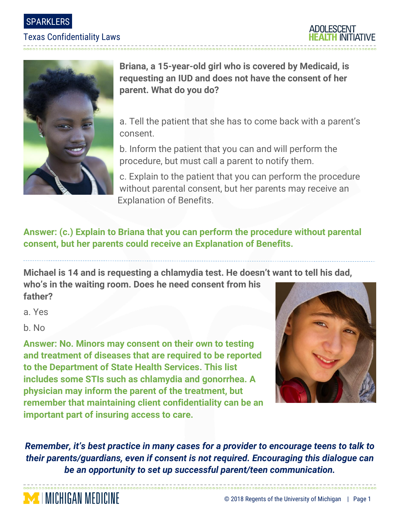SPARKLERS

### Texas Confidentiality Laws





**Briana, a 15-year-old girl who is covered by Medicaid, is requesting an IUD and does not have the consent of her parent. What do you do?**

a. Tell the patient that she has to come back with a parent's consent.

b. Inform the patient that you can and will perform the procedure, but must call a parent to notify them.

c. Explain to the patient that you can perform the procedure without parental consent, but her parents may receive an Explanation of Benefits.

## **Answer: (c.) Explain to Briana that you can perform the procedure without parental consent, but her parents could receive an Explanation of Benefits.**

**Michael is 14 and is requesting a chlamydia test. He doesn't want to tell his dad,** 

**who's in the waiting room. Does he need consent from his father?**

a. Yes

b. No

**MINICHIGAN MEDICINE** 

**Answer: No. Minors may consent on their own to testing and treatment of diseases that are required to be reported to the Department of State Health Services. This list includes some STIs such as chlamydia and gonorrhea. A physician may inform the parent of the treatment, but remember that maintaining client confidentiality can be an important part of insuring access to care.** 



*Remember, it's best practice in many cases for a provider to encourage teens to talk to their parents/guardians, even if consent is not required. Encouraging this dialogue can be an opportunity to set up successful parent/teen communication.*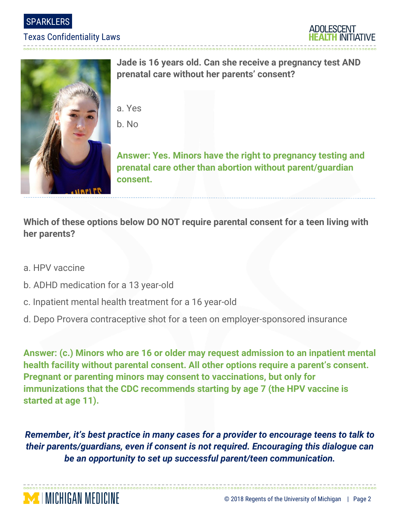SPARKLERS

### Texas Confidentiality Laws

------------------------





**Jade is 16 years old. Can she receive a pregnancy test AND prenatal care without her parents' consent?**

- a. Yes
- b. No

**Answer: Yes. Minors have the right to pregnancy testing and prenatal care other than abortion without parent/guardian consent.**

**Which of these options below DO NOT require parental consent for a teen living with her parents?**

a. HPV vaccine

**MINICHIGAN MEDICINE** 

- b. ADHD medication for a 13 year-old
- c. Inpatient mental health treatment for a 16 year-old
- d. Depo Provera contraceptive shot for a teen on employer-sponsored insurance

**Answer: (c.) Minors who are 16 or older may request admission to an inpatient mental health facility without parental consent. All other options require a parent's consent. Pregnant or parenting minors may consent to vaccinations, but only for immunizations that the CDC recommends starting by age 7 (the HPV vaccine is started at age 11).**

*Remember, it's best practice in many cases for a provider to encourage teens to talk to their parents/guardians, even if consent is not required. Encouraging this dialogue can be an opportunity to set up successful parent/teen communication.*